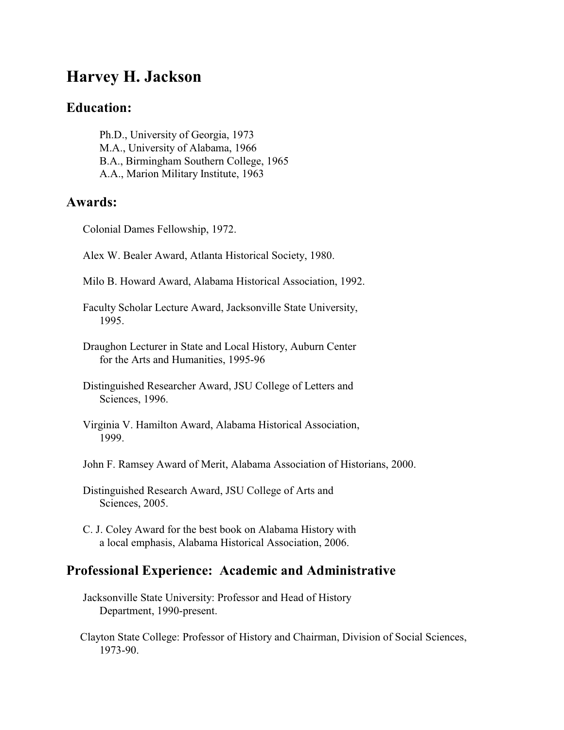# **Harvey H. Jackson**

## **Education:**

 Ph.D., University of Georgia, 1973 M.A., University of Alabama, 1966 B.A., Birmingham Southern College, 1965 A.A., Marion Military Institute, 1963

#### **Awards:**

Colonial Dames Fellowship, 1972.

Alex W. Bealer Award, Atlanta Historical Society, 1980.

Milo B. Howard Award, Alabama Historical Association, 1992.

 Faculty Scholar Lecture Award, Jacksonville State University, 1995.

 Draughon Lecturer in State and Local History, Auburn Center for the Arts and Humanities, 1995-96

 Distinguished Researcher Award, JSU College of Letters and Sciences, 1996.

 Virginia V. Hamilton Award, Alabama Historical Association, 1999.

John F. Ramsey Award of Merit, Alabama Association of Historians, 2000.

 Distinguished Research Award, JSU College of Arts and Sciences, 2005.

 C. J. Coley Award for the best book on Alabama History with a local emphasis, Alabama Historical Association, 2006.

### **Professional Experience: Academic and Administrative**

- Jacksonville State University: Professor and Head of History Department, 1990-present.
- Clayton State College: Professor of History and Chairman, Division of Social Sciences, 1973-90.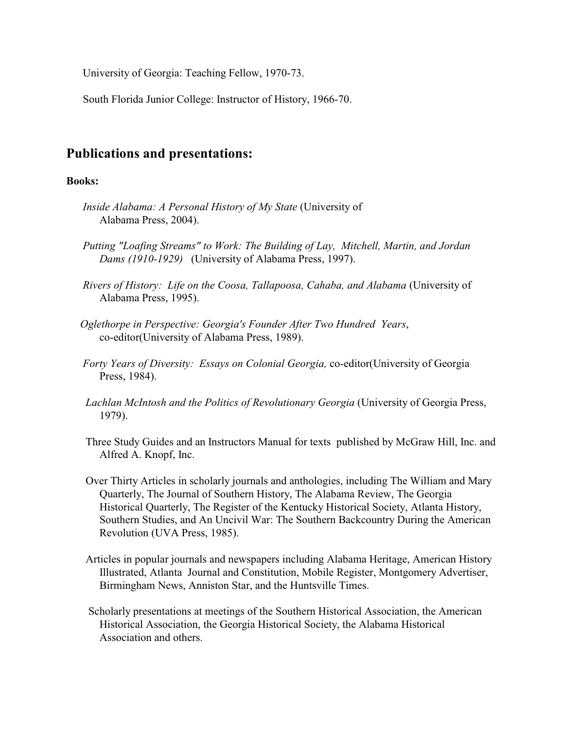University of Georgia: Teaching Fellow, 1970-73.

South Florida Junior College: Instructor of History, 1966-70.

### **Publications and presentations:**

#### **Books:**

- *Inside Alabama: A Personal History of My State* (University of Alabama Press, 2004).
- *Putting "Loafing Streams" to Work: The Building of Lay, Mitchell, Martin, and Jordan Dams (1910-1929)* (University of Alabama Press, 1997).
- *Rivers of History: Life on the Coosa, Tallapoosa, Cahaba, and Alabama* (University of Alabama Press, 1995).
- *Oglethorpe in Perspective: Georgia's Founder After Two Hundred Years*, co-editor(University of Alabama Press, 1989).
- *Forty Years of Diversity: Essays on Colonial Georgia,* co-editor(University of Georgia Press, 1984).
- *Lachlan McIntosh and the Politics of Revolutionary Georgia* (University of Georgia Press, 1979).
- Three Study Guides and an Instructors Manual for texts published by McGraw Hill, Inc. and Alfred A. Knopf, Inc.
- Over Thirty Articles in scholarly journals and anthologies, including The William and Mary Quarterly, The Journal of Southern History, The Alabama Review, The Georgia Historical Quarterly, The Register of the Kentucky Historical Society, Atlanta History, Southern Studies, and An Uncivil War: The Southern Backcountry During the American Revolution (UVA Press, 1985).
- Articles in popular journals and newspapers including Alabama Heritage, American History Illustrated, Atlanta Journal and Constitution, Mobile Register, Montgomery Advertiser, Birmingham News, Anniston Star, and the Huntsville Times.
- Scholarly presentations at meetings of the Southern Historical Association, the American Historical Association, the Georgia Historical Society, the Alabama Historical Association and others.